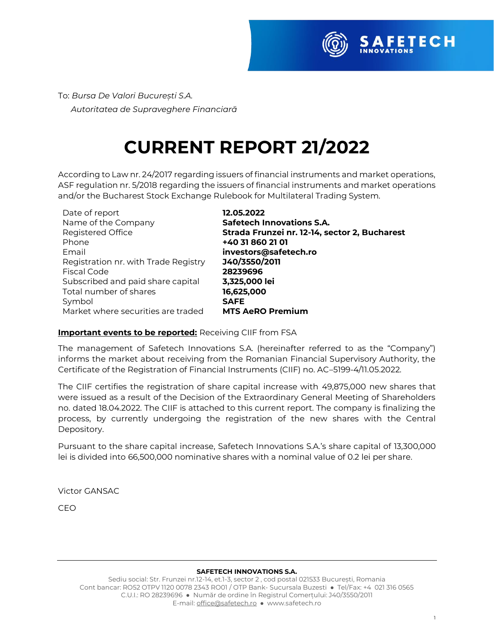

To: *Bursa De Valori București S.A. Autoritatea de Supraveghere Financiară* 

## **CURRENT REPORT 21/2022**

According to Law nr. 24/2017 regarding issuers of financial instruments and market operations, ASF regulation nr. 5/2018 regarding the issuers of financial instruments and market operations and/or the Bucharest Stock Exchange Rulebook for Multilateral Trading System.

| Date of report                       | 12.05.2022                 |
|--------------------------------------|----------------------------|
| Name of the Company                  | <b>Safetech Innovation</b> |
| Registered Office                    | Strada Frunzei nr. 12      |
| Phone                                | +40 31 860 21 01           |
| Email                                | investors@safetech.        |
| Registration nr. with Trade Registry | J40/3550/2011              |
| Fiscal Code                          | 28239696                   |
| Subscribed and paid share capital    | 3,325,000 lei              |
| Total number of shares               | 16,625,000                 |
| Symbol                               | <b>SAFE</b>                |
| Market where securities are traded   | <b>MTS AeRO Premium</b>    |
|                                      |                            |

**p** Vations S.A. Registered Office **Strada Frunzei nr. 12-14, sector 2, Bucharest** fetech.ro

#### **Important events to be reported:** Receiving CIIF from FSA

The management of Safetech Innovations S.A. (hereinafter referred to as the "Company") informs the market about receiving from the Romanian Financial Supervisory Authority, the Certificate of the Registration of Financial Instruments (CIIF) no. AC–5199-4/11.05.2022.

The CIIF certifies the registration of share capital increase with 49,875,000 new shares that were issued as a result of the Decision of the Extraordinary General Meeting of Shareholders no. dated 18.04.2022. The CIIF is attached to this current report. The company is finalizing the process, by currently undergoing the registration of the new shares with the Central Depository.

Pursuant to the share capital increase, Safetech Innovations S.A.'s share capital of 13,300,000 lei is divided into 66,500,000 nominative shares with a nominal value of 0.2 lei per share.

Victor GANSAC

CEO

#### **SAFETECH INNOVATIONS S.A.**

Sediu social: Str. Frunzei nr.12-14, et.1-3, sector 2 , cod postal 021533 București, Romania Cont bancar: RO52 OTPV 1120 0078 2343 RO01 / OTP Bank- Sucursala Buzesti ● Tel/Fax: +4 021 316 0565 C.U.I.: RO 28239696 ● Număr de ordine în Registrul Comerțului: J40/3550/2011 E-mail[: office@safetech.ro](mailto:office@safetech.ro) ● www.safetech.ro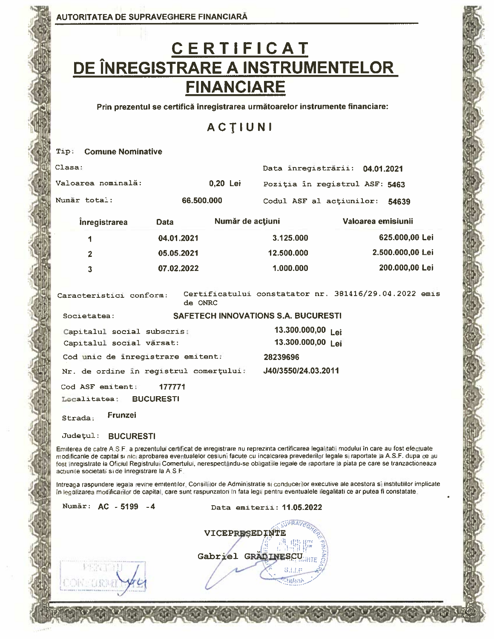# C E R T I F I C A T<br>DE ÎNREGISTRARE A INSTRUMENTELOR **FINANCIARE**

Prin prezentul se certifică înregistrarea următoarelor instrumente financiare:

### ACTIUNI

| Tip:    | <b>Comune Nominative</b>                          |                  |                                   |                                                                                                                                         |                                                                                                                                                                                                                                                                                                                                                                                                                                      |
|---------|---------------------------------------------------|------------------|-----------------------------------|-----------------------------------------------------------------------------------------------------------------------------------------|--------------------------------------------------------------------------------------------------------------------------------------------------------------------------------------------------------------------------------------------------------------------------------------------------------------------------------------------------------------------------------------------------------------------------------------|
| Clasa:  |                                                   |                  |                                   | Data inregistrārii: 04.01.2021                                                                                                          |                                                                                                                                                                                                                                                                                                                                                                                                                                      |
|         | Valoarea nominală:                                |                  | 0,20 Lei                          | Poziția în registrul ASF: 5463                                                                                                          |                                                                                                                                                                                                                                                                                                                                                                                                                                      |
|         | Numar total:                                      | 66,500,000       |                                   | Codul ASF al actiunilor:                                                                                                                | 54639                                                                                                                                                                                                                                                                                                                                                                                                                                |
|         | <i>inregistrarea</i>                              | Data             | Număr de acțiuni                  |                                                                                                                                         | Valoarea emisiunii                                                                                                                                                                                                                                                                                                                                                                                                                   |
|         | 1                                                 | 04.01.2021       |                                   | 3.125.000                                                                                                                               | 625.000,00 Lei                                                                                                                                                                                                                                                                                                                                                                                                                       |
|         | $\overline{2}$                                    | 05.05.2021       |                                   | 12.500.000                                                                                                                              | 2.500.000,00 Lei                                                                                                                                                                                                                                                                                                                                                                                                                     |
|         | 3                                                 | 07.02.2022       |                                   | 1.000.000                                                                                                                               | 200.000,00 Lei                                                                                                                                                                                                                                                                                                                                                                                                                       |
|         | Caracteristici conform:                           | de ONRC          |                                   |                                                                                                                                         | Certificatului constatator nr. 381416/29.04.2022 emis                                                                                                                                                                                                                                                                                                                                                                                |
|         | Societatea:                                       |                  |                                   | <b>SAFETECH INNOVATIONS S.A. BUCURESTI</b>                                                                                              |                                                                                                                                                                                                                                                                                                                                                                                                                                      |
|         | Capitalul social subscris;                        |                  |                                   | 13.300.000,00 Lei                                                                                                                       |                                                                                                                                                                                                                                                                                                                                                                                                                                      |
|         | Capitalul social vărsat:                          |                  |                                   | 13.300.000,00 Lei                                                                                                                       |                                                                                                                                                                                                                                                                                                                                                                                                                                      |
|         | Cod unic de inregistrare emitent:                 |                  |                                   | 28239696                                                                                                                                |                                                                                                                                                                                                                                                                                                                                                                                                                                      |
|         | Nr. de ordine în registrul comerțului:            |                  |                                   | J40/3550/24.03.2011                                                                                                                     |                                                                                                                                                                                                                                                                                                                                                                                                                                      |
|         | Cod ASF emitent:                                  | 177771           |                                   |                                                                                                                                         |                                                                                                                                                                                                                                                                                                                                                                                                                                      |
|         | Localitatea:                                      | <b>BUCURESTI</b> |                                   |                                                                                                                                         |                                                                                                                                                                                                                                                                                                                                                                                                                                      |
| Strada: | Frunzei                                           |                  |                                   |                                                                                                                                         |                                                                                                                                                                                                                                                                                                                                                                                                                                      |
|         | Județul:<br><b>BUCURESTI</b>                      |                  |                                   |                                                                                                                                         |                                                                                                                                                                                                                                                                                                                                                                                                                                      |
|         | actiunile societatii si de înregistrare la A.S.F. |                  |                                   |                                                                                                                                         | Emiterea de catre A.S.F. a prezentului certificat de inregistrare nu reprezinta certificarea legalitatii modului în care au fost efectuate<br>modificarile de capital si nici aprobarea eventualelor cesiuni facute cu incalcarea prevederilor legale si raportate la A.S.F. dupa ce au<br>fost inregistrate la Oficiul Registrului Comertului, nerespectându-se obligatiile legale de raportare la piata pe care se tranzactioneaza |
|         |                                                   |                  |                                   | în legalizarea modificarilor de capital, care sunt raspunzatori în fata legii pentru eventualele ilegalitati ce ar putea fi constatate. | Intreaga raspundere legala revine emitentilor, Consillilor de Administratie si conducerilor executive ale acestora si institutilior implicat                                                                                                                                                                                                                                                                                         |
|         | Număr: AC - 5199                                  |                  |                                   | Data emiterii: 11.05.2022                                                                                                               |                                                                                                                                                                                                                                                                                                                                                                                                                                      |
|         |                                                   |                  | VICEPRESEDINTE<br>Gabriel GRADINE | <b>VRAVE</b><br>EINANC<br>S.I.I.E<br>SUMMAR                                                                                             |                                                                                                                                                                                                                                                                                                                                                                                                                                      |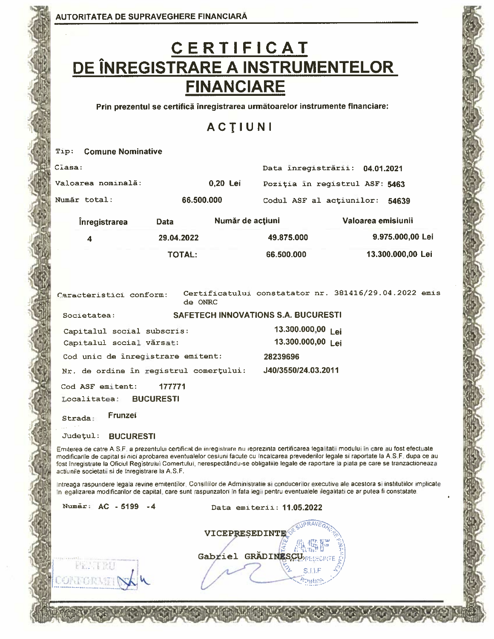FELT RU

CONFORMER

# C E R T I F I C A T<br>DE ÎNREGISTRARE A INSTRUMENTELOR **FINANCIARE**

Prin prezentul se certifică înregistrarea următoarelor instrumente financiare:

### ACTIUNI

| <b>Comune Nominative</b><br>Tip:                                                                                                                                                                                                                                                                                                                                                                                                                                                          |                  |                  |                                     |                                                      |
|-------------------------------------------------------------------------------------------------------------------------------------------------------------------------------------------------------------------------------------------------------------------------------------------------------------------------------------------------------------------------------------------------------------------------------------------------------------------------------------------|------------------|------------------|-------------------------------------|------------------------------------------------------|
| Clasa:                                                                                                                                                                                                                                                                                                                                                                                                                                                                                    |                  |                  | Data înregistrării: 04.01.2021      |                                                      |
| Valoarea nominală:                                                                                                                                                                                                                                                                                                                                                                                                                                                                        |                  | 0,20 Lei         | Pozitia in reqistrul ASF: 5463      |                                                      |
| Număr total:                                                                                                                                                                                                                                                                                                                                                                                                                                                                              | 66,500,000       |                  | Codul ASF al actiunilor:            | 54639                                                |
| <i>inregistrarea</i>                                                                                                                                                                                                                                                                                                                                                                                                                                                                      | Data             | Număr de acțiuni |                                     | Valoarea emisiunii                                   |
| 4                                                                                                                                                                                                                                                                                                                                                                                                                                                                                         | 29.04.2022       |                  | 49.875.000                          | 9.975.000,00 Lei                                     |
|                                                                                                                                                                                                                                                                                                                                                                                                                                                                                           | <b>TOTAL:</b>    |                  | 66,500,000                          | 13.300.000,00 Lei                                    |
| Caracteristici conform:                                                                                                                                                                                                                                                                                                                                                                                                                                                                   | de ONRC          |                  |                                     | Certificatului constatator nr. 381416/29.04.2022 emi |
| Societatea:                                                                                                                                                                                                                                                                                                                                                                                                                                                                               |                  |                  | SAFETECH INNOVATIONS S.A. BUCURESTI |                                                      |
| Capitalul social subscris:                                                                                                                                                                                                                                                                                                                                                                                                                                                                |                  |                  | 13.300.000,00 Lei                   |                                                      |
| Capitalul social vărsat:                                                                                                                                                                                                                                                                                                                                                                                                                                                                  |                  |                  | 13.300.000,00 Lei                   |                                                      |
| Cod unic de inregistrare emitent:                                                                                                                                                                                                                                                                                                                                                                                                                                                         |                  |                  | 28239696                            |                                                      |
| Nr. de ordine în registrul comerțului:                                                                                                                                                                                                                                                                                                                                                                                                                                                    |                  |                  | J40/3550/24.03.2011                 |                                                      |
| Cod ASF emitent:                                                                                                                                                                                                                                                                                                                                                                                                                                                                          | 177771           |                  |                                     |                                                      |
| Localitatea:                                                                                                                                                                                                                                                                                                                                                                                                                                                                              | <b>BUCURESTI</b> |                  |                                     |                                                      |
| Frunzei<br>Strada:                                                                                                                                                                                                                                                                                                                                                                                                                                                                        |                  |                  |                                     |                                                      |
|                                                                                                                                                                                                                                                                                                                                                                                                                                                                                           |                  |                  |                                     |                                                      |
| Județul:<br><b>BUCURESTI</b>                                                                                                                                                                                                                                                                                                                                                                                                                                                              |                  |                  |                                     |                                                      |
| Emiterea de catre A.S.F. a prezentului certificat de inregistrare nu reprezinta certificarea legalitatii modului în care au fost efectuate<br>modificarile de capital si nici aprobarea eventualelor cesiuni facute cu încalcarea prevederilor legale si raportate la A.S.F. dupa ce au<br>fost înregistrate la Oficiul Registrului Comertului, nerespectându-se obligatiile legale de raportare la plata pe care se tranzactioneaza<br>actiunile societatii si de inregistrare la A.S.F. |                  |                  |                                     |                                                      |
| Intreaga raspundere legala revine emitentilor. Consiliilor de Administratie si conducerilor executive ale acestora si institutiilor implicat<br>In legalizarea modificarilor de capital, care sunt raspunzatori in fata legii pentru eventualele ilegalitati ce ar putea fi constatate.                                                                                                                                                                                                   |                  |                  |                                     |                                                      |
| Număr: AC - 5199 - 4                                                                                                                                                                                                                                                                                                                                                                                                                                                                      |                  |                  | Data emiterii: 11.05.2022           |                                                      |
|                                                                                                                                                                                                                                                                                                                                                                                                                                                                                           |                  |                  | VICEPRESEDINTE                      |                                                      |

|                                                                                                                                                                                                                                                                                                                                                                                                                                                                                                                                                                                                                            | <b>RAVEGL</b>                |
|----------------------------------------------------------------------------------------------------------------------------------------------------------------------------------------------------------------------------------------------------------------------------------------------------------------------------------------------------------------------------------------------------------------------------------------------------------------------------------------------------------------------------------------------------------------------------------------------------------------------------|------------------------------|
| $\texttt{VICEPRESEDINTE} \textcolor{red}{\diamond}^{\textcolor{red}{\diamond}^{\textcolor{blue}{\diamond}^{\textcolor{blue}{\diamond}^{\textcolor{blue}{\diamond}^{\textcolor{blue}{\diamond}^{\textcolor{blue}{\diamond}^{\textcolor{blue}{\diamond}^{\textcolor{blue}{\diamond}^{\textcolor{blue}{\diamond}^{\textcolor{blue}{\diamond}^{\textcolor{blue}{\diamond}^{\textcolor{blue}{\diamond}^{\textcolor{blue}{\diamond}^{\textcolor{blue}{\diamond}^{\textcolor{blue}{\diamond}^{\textcolor{blue}{\diamond}^{\textcolor{blue}{\diamond}^{\textcolor{blue}{\diamond}^{\textcolor{blue}{\diamond}^{\textcolor{blue}{\$ |                              |
|                                                                                                                                                                                                                                                                                                                                                                                                                                                                                                                                                                                                                            | ķст                          |
|                                                                                                                                                                                                                                                                                                                                                                                                                                                                                                                                                                                                                            | Gabriel GRADINESCUPRESEDINTE |
|                                                                                                                                                                                                                                                                                                                                                                                                                                                                                                                                                                                                                            |                              |